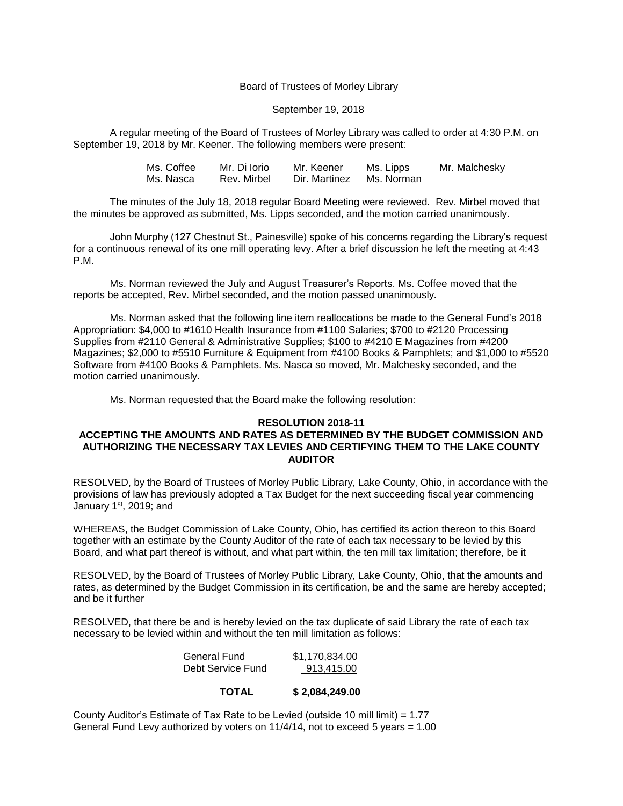## Board of Trustees of Morley Library

## September 19, 2018

A regular meeting of the Board of Trustees of Morley Library was called to order at 4:30 P.M. on September 19, 2018 by Mr. Keener. The following members were present:

| Ms. Coffee | Mr. Di Iorio | Mr. Keener               | Ms. Lipps | Mr. Malchesky |
|------------|--------------|--------------------------|-----------|---------------|
| Ms. Nasca  | Rev. Mirbel  | Dir. Martinez Ms. Norman |           |               |

The minutes of the July 18, 2018 regular Board Meeting were reviewed. Rev. Mirbel moved that the minutes be approved as submitted, Ms. Lipps seconded, and the motion carried unanimously.

John Murphy (127 Chestnut St., Painesville) spoke of his concerns regarding the Library's request for a continuous renewal of its one mill operating levy. After a brief discussion he left the meeting at 4:43 P.M.

Ms. Norman reviewed the July and August Treasurer's Reports. Ms. Coffee moved that the reports be accepted, Rev. Mirbel seconded, and the motion passed unanimously.

Ms. Norman asked that the following line item reallocations be made to the General Fund's 2018 Appropriation: \$4,000 to #1610 Health Insurance from #1100 Salaries; \$700 to #2120 Processing Supplies from #2110 General & Administrative Supplies; \$100 to #4210 E Magazines from #4200 Magazines; \$2,000 to #5510 Furniture & Equipment from #4100 Books & Pamphlets; and \$1,000 to #5520 Software from #4100 Books & Pamphlets. Ms. Nasca so moved, Mr. Malchesky seconded, and the motion carried unanimously.

Ms. Norman requested that the Board make the following resolution:

#### **RESOLUTION 2018-11**

# **ACCEPTING THE AMOUNTS AND RATES AS DETERMINED BY THE BUDGET COMMISSION AND AUTHORIZING THE NECESSARY TAX LEVIES AND CERTIFYING THEM TO THE LAKE COUNTY AUDITOR**

RESOLVED, by the Board of Trustees of Morley Public Library, Lake County, Ohio, in accordance with the provisions of law has previously adopted a Tax Budget for the next succeeding fiscal year commencing January 1st, 2019; and

WHEREAS, the Budget Commission of Lake County, Ohio, has certified its action thereon to this Board together with an estimate by the County Auditor of the rate of each tax necessary to be levied by this Board, and what part thereof is without, and what part within, the ten mill tax limitation; therefore, be it

RESOLVED, by the Board of Trustees of Morley Public Library, Lake County, Ohio, that the amounts and rates, as determined by the Budget Commission in its certification, be and the same are hereby accepted; and be it further

RESOLVED, that there be and is hereby levied on the tax duplicate of said Library the rate of each tax necessary to be levied within and without the ten mill limitation as follows:

| General Fund      | \$1,170,834.00 |
|-------------------|----------------|
| Debt Service Fund | 913,415.00     |

## **TOTAL \$ 2,084,249.00**

County Auditor's Estimate of Tax Rate to be Levied (outside 10 mill limit) =  $1.77$ General Fund Levy authorized by voters on 11/4/14, not to exceed 5 years = 1.00